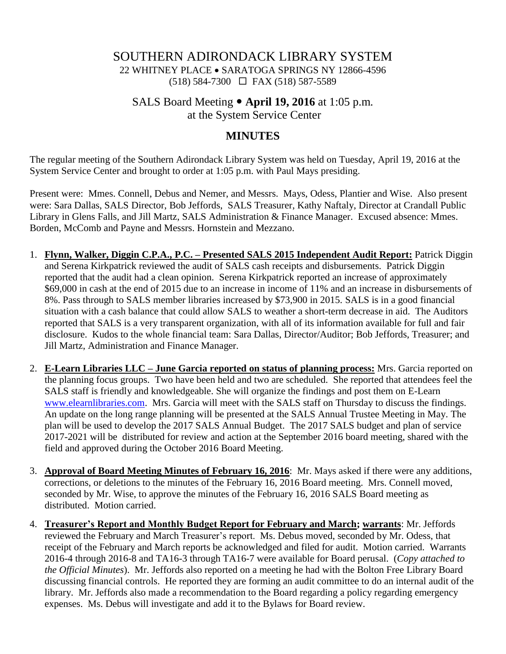## SOUTHERN ADIRONDACK LIBRARY SYSTEM 22 WHITNEY PLACE • SARATOGA SPRINGS NY 12866-4596 (518) 584-7300 FAX (518) 587-5589

SALS Board Meeting **April 19, 2016** at 1:05 p.m. at the System Service Center

#### **MINUTES**

The regular meeting of the Southern Adirondack Library System was held on Tuesday, April 19, 2016 at the System Service Center and brought to order at 1:05 p.m. with Paul Mays presiding.

Present were: Mmes. Connell, Debus and Nemer, and Messrs. Mays, Odess, Plantier and Wise. Also present were: Sara Dallas, SALS Director, Bob Jeffords, SALS Treasurer, Kathy Naftaly, Director at Crandall Public Library in Glens Falls, and Jill Martz, SALS Administration & Finance Manager. Excused absence: Mmes. Borden, McComb and Payne and Messrs. Hornstein and Mezzano.

- 1. **Flynn, Walker, Diggin C.P.A., P.C. – Presented SALS 2015 Independent Audit Report:** Patrick Diggin and Serena Kirkpatrick reviewed the audit of SALS cash receipts and disbursements. Patrick Diggin reported that the audit had a clean opinion. Serena Kirkpatrick reported an increase of approximately \$69,000 in cash at the end of 2015 due to an increase in income of 11% and an increase in disbursements of 8%. Pass through to SALS member libraries increased by \$73,900 in 2015. SALS is in a good financial situation with a cash balance that could allow SALS to weather a short-term decrease in aid. The Auditors reported that SALS is a very transparent organization, with all of its information available for full and fair disclosure. Kudos to the whole financial team: Sara Dallas, Director/Auditor; Bob Jeffords, Treasurer; and Jill Martz, Administration and Finance Manager.
- 2. **E-Learn Libraries LLC – June Garcia reported on status of planning process:** Mrs. Garcia reported on the planning focus groups. Two have been held and two are scheduled. She reported that attendees feel the SALS staff is friendly and knowledgeable. She will organize the findings and post them on E-Learn [www.elearnlibraries.com.](http://www.elearnlibraries.com/) Mrs. Garcia will meet with the SALS staff on Thursday to discuss the findings. An update on the long range planning will be presented at the SALS Annual Trustee Meeting in May. The plan will be used to develop the 2017 SALS Annual Budget. The 2017 SALS budget and plan of service 2017-2021 will be distributed for review and action at the September 2016 board meeting, shared with the field and approved during the October 2016 Board Meeting.
- 3. **Approval of Board Meeting Minutes of February 16, 2016**: Mr. Mays asked if there were any additions, corrections, or deletions to the minutes of the February 16, 2016 Board meeting. Mrs. Connell moved, seconded by Mr. Wise, to approve the minutes of the February 16, 2016 SALS Board meeting as distributed. Motion carried.
- 4. **Treasurer's Report and Monthly Budget Report for February and March; warrants**: Mr. Jeffords reviewed the February and March Treasurer's report. Ms. Debus moved, seconded by Mr. Odess, that receipt of the February and March reports be acknowledged and filed for audit. Motion carried. Warrants 2016-4 through 2016-8 and TA16-3 through TA16-7 were available for Board perusal. (*Copy attached to the Official Minutes*). Mr. Jeffords also reported on a meeting he had with the Bolton Free Library Board discussing financial controls. He reported they are forming an audit committee to do an internal audit of the library. Mr. Jeffords also made a recommendation to the Board regarding a policy regarding emergency expenses. Ms. Debus will investigate and add it to the Bylaws for Board review.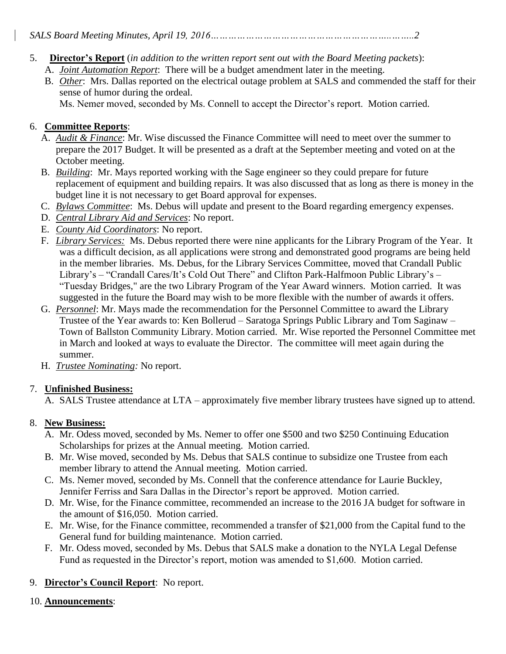# 5. **Director's Report** (*in addition to the written report sent out with the Board Meeting packets*):

- A. *Joint Automation Report*: There will be a budget amendment later in the meeting.
- B. *Other*: Mrs. Dallas reported on the electrical outage problem at SALS and commended the staff for their sense of humor during the ordeal.

Ms. Nemer moved, seconded by Ms. Connell to accept the Director's report. Motion carried.

### 6. **Committee Reports**:

- A. *Audit & Finance*: Mr. Wise discussed the Finance Committee will need to meet over the summer to prepare the 2017 Budget. It will be presented as a draft at the September meeting and voted on at the October meeting.
- B. *Building*: Mr. Mays reported working with the Sage engineer so they could prepare for future replacement of equipment and building repairs. It was also discussed that as long as there is money in the budget line it is not necessary to get Board approval for expenses.
- C. *Bylaws Committee*: Ms. Debus will update and present to the Board regarding emergency expenses.
- D. *Central Library Aid and Services*: No report.
- E. *County Aid Coordinators*: No report.
- F. *Library Services:* Ms. Debus reported there were nine applicants for the Library Program of the Year. It was a difficult decision, as all applications were strong and demonstrated good programs are being held in the member libraries. Ms. Debus, for the Library Services Committee, moved that Crandall Public Library's – "Crandall Cares/It's Cold Out There" and Clifton Park-Halfmoon Public Library's – "Tuesday Bridges," are the two Library Program of the Year Award winners. Motion carried. It was suggested in the future the Board may wish to be more flexible with the number of awards it offers.
- G. *Personnel*: Mr. Mays made the recommendation for the Personnel Committee to award the Library Trustee of the Year awards to: Ken Bollerud – Saratoga Springs Public Library and Tom Saginaw – Town of Ballston Community Library. Motion carried. Mr. Wise reported the Personnel Committee met in March and looked at ways to evaluate the Director. The committee will meet again during the summer.
- H. *Trustee Nominating:* No report.

#### 7. **Unfinished Business:**

A. SALS Trustee attendance at LTA – approximately five member library trustees have signed up to attend.

#### 8. **New Business:**

- A. Mr. Odess moved, seconded by Ms. Nemer to offer one \$500 and two \$250 Continuing Education Scholarships for prizes at the Annual meeting. Motion carried.
- B. Mr. Wise moved, seconded by Ms. Debus that SALS continue to subsidize one Trustee from each member library to attend the Annual meeting. Motion carried.
- C. Ms. Nemer moved, seconded by Ms. Connell that the conference attendance for Laurie Buckley, Jennifer Ferriss and Sara Dallas in the Director's report be approved. Motion carried.
- D. Mr. Wise, for the Finance committee, recommended an increase to the 2016 JA budget for software in the amount of \$16,050. Motion carried.
- E. Mr. Wise, for the Finance committee, recommended a transfer of \$21,000 from the Capital fund to the General fund for building maintenance. Motion carried.
- F. Mr. Odess moved, seconded by Ms. Debus that SALS make a donation to the NYLA Legal Defense Fund as requested in the Director's report, motion was amended to \$1,600. Motion carried.

### 9. **Director's Council Report**: No report.

#### 10. **Announcements**: